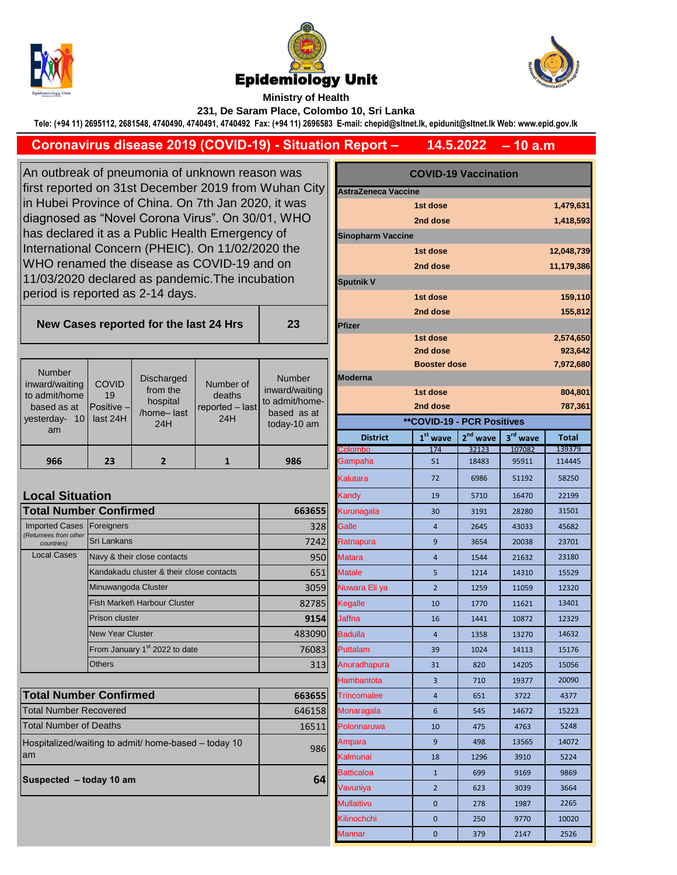





## **Ministry of Health 231, De Saram Place, Colombo 10, Sri Lanka**

**Tele: (+94 11) 2695112, 2681548, 4740490, 4740491, 4740492 Fax: (+94 11) 2696583 E-mail: chepid@sltnet.lk, epidunit@sltnet.lk Web: www.epid.gov.lk**

## **– 10 a.m 14.5.2022 Coronavirus disease 2019 (COVID-19) - Situation Report –**

An outbreak of pneumonia of unknown reason was first reported on 31st December 2019 from Wuhan City in Hubei Province of China. On 7th Jan 2020, it was diagnosed as "Novel Corona Virus". On 30/01, WHO has declared it as a Public Health Emergency of International Concern (PHEIC). On 11/02/2020 the WHO renamed the disease as COVID-19 and on 11/03/2020 declared as pandemic.The incubation period is reported as 2-14 days.

**New Cases reported for the last 24 Hrs** 

| <b>COVID</b><br>$\overline{A}$ | <b>Discharged</b><br>from the | Number of | <b>Number</b><br>inward/waiti |
|--------------------------------|-------------------------------|-----------|-------------------------------|

| yesterday- 10 last 24H<br>am<br>966 | フマ               | /home-last<br>24H   | 24H             | based as at<br>today-10 am<br>986 |
|-------------------------------------|------------------|---------------------|-----------------|-----------------------------------|
| inward/waiting                      | <b>COVID</b>     | <b>DIJULIAI YUU</b> | Number of       | 139111251                         |
| to admit/home                       | 19               | from the            | deaths          | inward/waiting                    |
| based as at                         | $P$ ositive $-I$ | hospital            | reported - last | to admit/home-                    |

## **Local Situation**

Number

| <b>Total Number Confirmed</b>       | 663655                                    |        |
|-------------------------------------|-------------------------------------------|--------|
| <b>Imported Cases</b>               | Foreigners                                | 328    |
| (Returnees from other<br>countries) | Sri Lankans                               | 7242   |
| <b>Local Cases</b>                  | Navy & their close contacts               | 950    |
|                                     | Kandakadu cluster & their close contacts  | 651    |
|                                     | Minuwangoda Cluster                       | 3059   |
|                                     | Fish Market\ Harbour Cluster              | 82785  |
|                                     | Prison cluster                            | 9154   |
|                                     | <b>New Year Cluster</b>                   | 483090 |
|                                     | From January 1 <sup>st</sup> 2022 to date | 76083  |
|                                     | <b>Others</b>                             | 313    |

| <b>Total Number Confirmed</b>                              | 663655 |
|------------------------------------------------------------|--------|
| Total Number Recovered                                     | 646158 |
| Total Number of Deaths                                     | 16511  |
| Hospitalized/waiting to admit/ home-based – today 10<br>am | 986    |
| Suspected - today 10 am                                    | 64     |

| utbreak of pneumonia of unknown reason was<br>reported on 31st December 2019 from Wuhan City    |                           |                                           |                                             | <b>COVID-19 Vaccination</b><br><b>AstraZeneca Vaccine</b> |                          |                                   |                |                      |                  |
|-------------------------------------------------------------------------------------------------|---------------------------|-------------------------------------------|---------------------------------------------|-----------------------------------------------------------|--------------------------|-----------------------------------|----------------|----------------------|------------------|
|                                                                                                 |                           |                                           |                                             |                                                           |                          |                                   |                |                      |                  |
| ubei Province of China. On 7th Jan 2020, it was<br>nosed as "Novel Corona Virus". On 30/01, WHO |                           |                                           |                                             |                                                           | 1st dose                 |                                   |                | 1,479,631            |                  |
|                                                                                                 |                           |                                           |                                             | 1,418,593<br>2nd dose                                     |                          |                                   |                |                      |                  |
| declared it as a Public Health Emergency of                                                     |                           |                                           |                                             |                                                           | <b>Sinopharm Vaccine</b> |                                   |                |                      |                  |
| national Concern (PHEIC). On 11/02/2020 the<br>O renamed the disease as COVID-19 and on         |                           |                                           |                                             |                                                           | 1st dose<br>12,048,739   |                                   |                |                      |                  |
|                                                                                                 |                           |                                           |                                             |                                                           | 2nd dose<br>11,179,386   |                                   |                |                      |                  |
|                                                                                                 |                           |                                           | 3/2020 declared as pandemic. The incubation |                                                           | <b>Sputnik V</b>         |                                   |                |                      |                  |
|                                                                                                 |                           | od is reported as 2-14 days.              |                                             |                                                           |                          | 1st dose                          |                |                      | 159,110          |
|                                                                                                 |                           |                                           |                                             |                                                           | 2nd dose                 |                                   |                | 155,812              |                  |
|                                                                                                 |                           | ew Cases reported for the last 24 Hrs     |                                             | 23                                                        | <b>Pfizer</b>            |                                   |                |                      |                  |
|                                                                                                 |                           |                                           |                                             |                                                           |                          | 1st dose                          |                |                      | 2,574,650        |
|                                                                                                 |                           |                                           |                                             |                                                           |                          | 2nd dose                          |                |                      | 923,642          |
| umber                                                                                           |                           |                                           |                                             |                                                           |                          | <b>Booster dose</b>               |                |                      | 7,972,680        |
| d/waiting                                                                                       | <b>COVID</b>              | <b>Discharged</b><br>from the             | Number of                                   | <b>Number</b><br>inward/waiting                           | <b>Moderna</b>           |                                   |                |                      |                  |
| mit/home                                                                                        | 19                        | hospital                                  | deaths                                      | to admit/home-                                            |                          | 1st dose                          |                |                      | 804,801          |
| ed as at<br>rday- 10                                                                            | Positive -<br>last 24H    | /home-last                                | reported - last<br>24H                      | based as at                                               |                          | 2nd dose                          |                |                      | 787,361          |
| am                                                                                              |                           | 24H                                       |                                             | today-10 am                                               |                          | <b>**COVID-19 - PCR Positives</b> |                |                      |                  |
|                                                                                                 |                           |                                           |                                             |                                                           | <b>District</b>          | $1st$ wave<br>174                 | $2nd$ wave     | 3 <sup>rd</sup> wave | Total            |
| 966                                                                                             | 23                        | $\overline{2}$                            | $\mathbf{1}$                                | 986                                                       | Colombo<br>Gampaha       | 51                                | 32123<br>18483 | 107082<br>95911      | 139379<br>114445 |
|                                                                                                 |                           |                                           |                                             |                                                           |                          |                                   |                |                      |                  |
|                                                                                                 |                           |                                           |                                             |                                                           | Kalutara                 | 72                                | 6986           | 51192                | 58250            |
| al Situation                                                                                    |                           |                                           |                                             |                                                           | Kandy                    | 19                                | 5710           | 16470                | 22199            |
|                                                                                                 | <b>I Number Confirmed</b> |                                           |                                             | 663655                                                    | Kurunagala               | 30                                | 3191           | 28280                | 31501            |
| ted Cases<br>es from other                                                                      | Foreigners                |                                           |                                             | 328                                                       | Galle                    | 4                                 | 2645           | 43033                | 45682            |
| untries)                                                                                        | Sri Lankans               |                                           |                                             | 7242                                                      | Ratnapura                | 9                                 | 3654           | 20038                | 23701            |
| al Cases                                                                                        |                           | Navy & their close contacts               |                                             | 950                                                       | <b>Matara</b>            | 4                                 | 1544           | 21632                | 23180            |
|                                                                                                 |                           | Kandakadu cluster & their close contacts  |                                             | 651                                                       | <b>Matale</b>            | 5                                 | 1214           | 14310                | 15529            |
|                                                                                                 | Minuwangoda Cluster       |                                           |                                             | 3059                                                      | Nuwara Eli ya            | $\overline{2}$                    | 1259           | 11059                | 12320            |
|                                                                                                 |                           | Fish Market\ Harbour Cluster              |                                             | 82785                                                     | Kegalle                  | 10                                | 1770           | 11621                | 13401            |
|                                                                                                 | <b>Prison cluster</b>     |                                           |                                             | 9154                                                      | Jaffna                   | 16                                | 1441           | 10872                | 12329            |
|                                                                                                 | <b>New Year Cluster</b>   |                                           |                                             | 483090                                                    | <b>Badulla</b>           | 4                                 | 1358           | 13270                | 14632            |
|                                                                                                 |                           | From January 1 <sup>st</sup> 2022 to date |                                             | 76083                                                     | Puttalam                 | 39                                | 1024           | 14113                | 15176            |
|                                                                                                 | <b>Others</b>             |                                           |                                             | 313                                                       | Anuradhapura             | 31                                | 820            | 14205                | 15056            |
|                                                                                                 |                           |                                           |                                             |                                                           | Hambantota               | 3                                 | 710            | 19377                | 20090            |
|                                                                                                 | <b>I Number Confirmed</b> |                                           |                                             | 663655                                                    | <b>Trincomalee</b>       | 4                                 | 651            | 3722                 | 4377             |
| <b>Number Recovered</b>                                                                         |                           |                                           |                                             | 646158                                                    | Monaragala               | 6                                 | 545            | 14672                | 15223            |
| Number of Deaths                                                                                |                           |                                           |                                             | 16511                                                     | Polonnaruwa              | 10                                | 475            | 4763                 | 5248             |
| talized/waiting to admit/ home-based - today 10                                                 |                           |                                           |                                             | Ampara                                                    | 9                        | 498                               | 13565          | 14072                |                  |
|                                                                                                 |                           |                                           |                                             | 986                                                       | Kalmunai                 | 18                                | 1296           | 3910                 | 5224             |
|                                                                                                 |                           |                                           |                                             | Batticaloa                                                | $\mathbf{1}$             | 699                               | 9169           | 9869                 |                  |
|                                                                                                 | ected - today 10 am       |                                           |                                             | 64                                                        | Vavuniya                 | 2                                 | 623            | 3039                 | 3664             |
|                                                                                                 |                           |                                           |                                             |                                                           | <b>Mullaitivu</b>        |                                   |                |                      |                  |
|                                                                                                 |                           |                                           |                                             |                                                           | 0                        | 278                               | 1987           | 2265                 |                  |
|                                                                                                 |                           |                                           |                                             |                                                           | Kilinochchi              | 0                                 | 250            | 9770                 | 10020            |
|                                                                                                 |                           |                                           |                                             |                                                           | Mannar                   | $\pmb{0}$                         | 379            | 2147                 | 2526             |